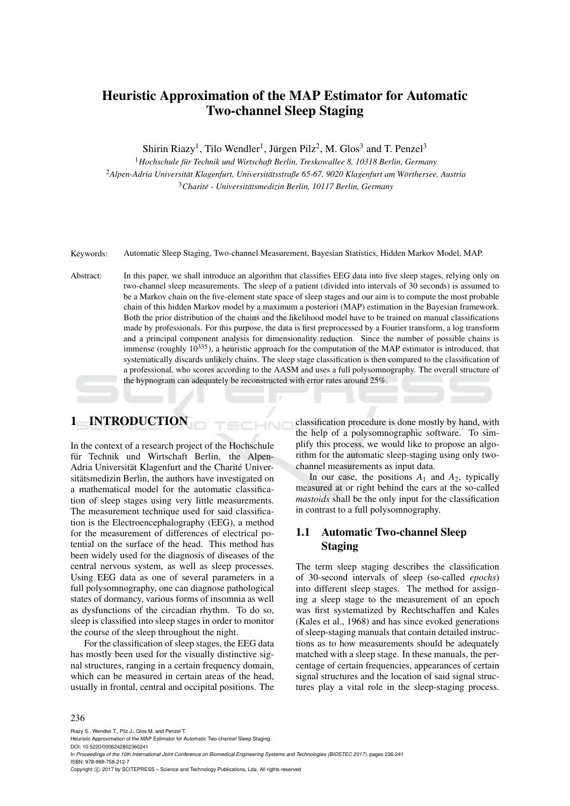# Heuristic Approximation of the MAP Estimator for Automatic Two-channel Sleep Staging

Shirin Riazy<sup>1</sup>, Tilo Wendler<sup>1</sup>, Jürgen Pilz<sup>2</sup>, M. Glos<sup>3</sup> and T. Penzel<sup>3</sup>

<sup>1</sup> Hochschule für Technik und Wirtschaft Berlin, Treskowallee 8, 10318 Berlin, Germany <sup>2</sup>*Alpen-Adria Universitat Klagenfurt, Universit ¨ atsstraße 65-67, 9020 Klagenfurt am W ¨ orthersee, Austria ¨* <sup>3</sup> Charité - Universitätsmedizin Berlin, 10117 Berlin, Germany

Keywords: Automatic Sleep Staging, Two-channel Measurement, Bayesian Statistics, Hidden Markov Model, MAP.

Abstract: In this paper, we shall introduce an algorithm that classifies EEG data into five sleep stages, relying only on two-channel sleep measurements. The sleep of a patient (divided into intervals of 30 seconds) is assumed to be a Markov chain on the five-element state space of sleep stages and our aim is to compute the most probable chain of this hidden Markov model by a maximum a posteriori (MAP) estimation in the Bayesian framework. Both the prior distribution of the chains and the likelihood model have to be trained on manual classifications made by professionals. For this purpose, the data is first preprocessed by a Fourier transform, a log transform and a principal component analysis for dimensionality reduction. Since the number of possible chains is immense (roughly  $10^{335}$ ), a heuristic approach for the computation of the MAP estimator is introduced, that systematically discards unlikely chains. The sleep stage classification is then compared to the classification of a professional, who scores according to the AASM and uses a full polysomnography. The overall structure of the hypnogram can adequately be reconstructed with error rates around 25%.

HND

# 1 INTRODUCTION

In the context of a research project of the Hochschule für Technik und Wirtschaft Berlin, the Alpen-Adria Universität Klagenfurt and the Charité Universitätsmedizin Berlin, the authors have investigated on a mathematical model for the automatic classification of sleep stages using very little measurements. The measurement technique used for said classification is the Electroencephalography (EEG), a method for the measurement of differences of electrical potential on the surface of the head. This method has been widely used for the diagnosis of diseases of the central nervous system, as well as sleep processes. Using EEG data as one of several parameters in a full polysomnography, one can diagnose pathological states of dormancy, various forms of insomnia as well as dysfunctions of the circadian rhythm. To do so, sleep is classified into sleep stages in order to monitor the course of the sleep throughout the night.

For the classification of sleep stages, the EEG data has mostly been used for the visually distinctive signal structures, ranging in a certain frequency domain, which can be measured in certain areas of the head, usually in frontal, central and occipital positions. The

classification procedure is done mostly by hand, with the help of a polysomnographic software. To simplify this process, we would like to propose an algorithm for the automatic sleep-staging using only twochannel measurements as input data.

In our case, the positions  $A_1$  and  $A_2$ , typically measured at or right behind the ears at the so-called *mastoids* shall be the only input for the classification in contrast to a full polysomnography.

# 1.1 Automatic Two-channel Sleep Staging

The term sleep staging describes the classification of 30-second intervals of sleep (so-called *epochs*) into different sleep stages. The method for assigning a sleep stage to the measurement of an epoch was first systematized by Rechtschaffen and Kales (Kales et al., 1968) and has since evoked generations of sleep-staging manuals that contain detailed instructions as to how measurements should be adequately matched with a sleep stage. In these manuals, the percentage of certain frequencies, appearances of certain signal structures and the location of said signal structures play a vital role in the sleep-staging process.

#### 236

Riazy S., Wendler T., Pilz J., Glos M. and Penzel T.

DOI: 10.5220/0006242802360241

In *Proceedings of the 10th International Joint Conference on Biomedical Engineering Systems and Technologies (BIOSTEC 2017)*, pages 236-241 ISBN: 978-989-758-212-7

Copyright (C) 2017 by SCITEPRESS - Science and Technology Publications, Lda. All rights reserved

Heuristic Approximation of the MAP Estimator for Automatic Two-channel Sleep Staging.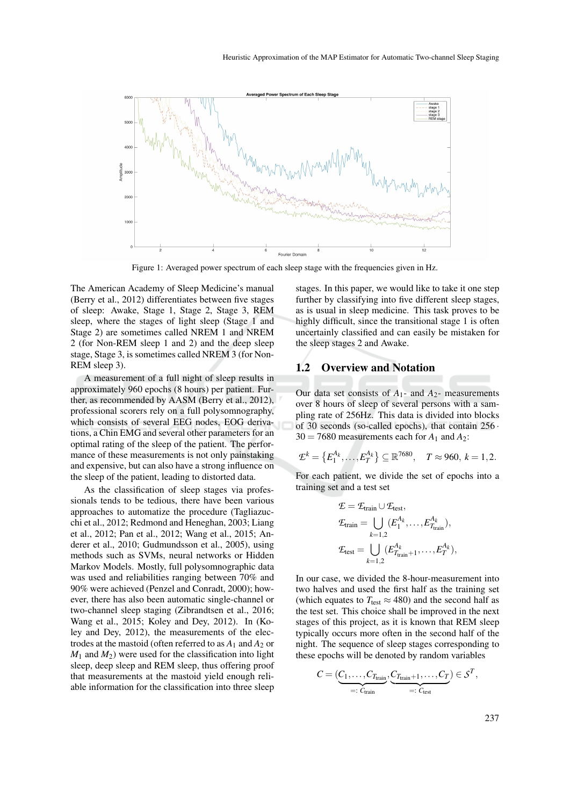

Figure 1: Averaged power spectrum of each sleep stage with the frequencies given in Hz.

The American Academy of Sleep Medicine's manual (Berry et al., 2012) differentiates between five stages of sleep: Awake, Stage 1, Stage 2, Stage 3, REM sleep, where the stages of light sleep (Stage 1 and Stage 2) are sometimes called NREM 1 and NREM 2 (for Non-REM sleep 1 and 2) and the deep sleep stage, Stage 3, is sometimes called NREM 3 (for Non-REM sleep 3).

A measurement of a full night of sleep results in approximately 960 epochs (8 hours) per patient. Further, as recommended by AASM (Berry et al., 2012), professional scorers rely on a full polysomnography, which consists of several EEG nodes, EOG derivations, a Chin EMG and several other parameters for an optimal rating of the sleep of the patient. The performance of these measurements is not only painstaking and expensive, but can also have a strong influence on the sleep of the patient, leading to distorted data.

As the classification of sleep stages via professionals tends to be tedious, there have been various approaches to automatize the procedure (Tagliazucchi et al., 2012; Redmond and Heneghan, 2003; Liang et al., 2012; Pan et al., 2012; Wang et al., 2015; Anderer et al., 2010; Gudmundsson et al., 2005), using methods such as SVMs, neural networks or Hidden Markov Models. Mostly, full polysomnographic data was used and reliabilities ranging between 70% and 90% were achieved (Penzel and Conradt, 2000); however, there has also been automatic single-channel or two-channel sleep staging (Zibrandtsen et al., 2016; Wang et al., 2015; Koley and Dey, 2012). In (Koley and Dey, 2012), the measurements of the electrodes at the mastoid (often referred to as  $A_1$  and  $A_2$  or  $M_1$  and  $M_2$ ) were used for the classification into light sleep, deep sleep and REM sleep, thus offering proof that measurements at the mastoid yield enough reliable information for the classification into three sleep

stages. In this paper, we would like to take it one step further by classifying into five different sleep stages, as is usual in sleep medicine. This task proves to be highly difficult, since the transitional stage 1 is often uncertainly classified and can easily be mistaken for the sleep stages 2 and Awake.

#### 1.2 Overview and Notation

Our data set consists of  $A_1$ - and  $A_2$ - measurements over 8 hours of sleep of several persons with a sampling rate of 256Hz. This data is divided into blocks of 30 seconds (so-called epochs), that contain 256 ·  $30 = 7680$  measurements each for  $A_1$  and  $A_2$ :

$$
\mathcal{L}^k = \{E_1^{A_k}, \ldots, E_T^{A_k}\} \subseteq \mathbb{R}^{7680}, \quad T \approx 960, k = 1, 2.
$$

For each patient, we divide the set of epochs into a training set and a test set

$$
\mathcal{E} = \mathcal{E}_{\text{train}} \cup \mathcal{E}_{\text{test}},
$$
  
\n
$$
\mathcal{E}_{\text{train}} = \bigcup_{k=1,2} (E_1^{A_k}, \dots, E_{T_{\text{train}}}^{A_k}),
$$
  
\n
$$
\mathcal{E}_{\text{test}} = \bigcup_{k=1,2} (E_{T_{\text{train}}+1}^{A_k}, \dots, E_T^{A_k}),
$$

In our case, we divided the 8-hour-measurement into two halves and used the first half as the training set (which equates to  $T_{\text{test}} \approx 480$ ) and the second half as the test set. This choice shall be improved in the next stages of this project, as it is known that REM sleep typically occurs more often in the second half of the night. The sequence of sleep stages corresponding to these epochs will be denoted by random variables

$$
C = (\underbrace{C_1, \ldots, C_{T_{\text{train}}}}, \underbrace{C_{T_{\text{train}}} + 1, \ldots, C_T}_{=: C_{\text{test}}} ) \in \mathcal{S}^T,
$$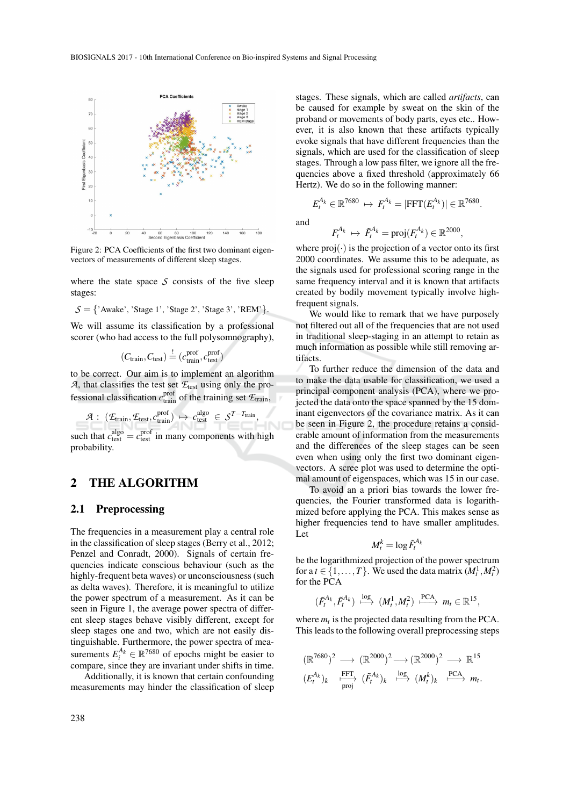

Figure 2: PCA Coefficients of the first two dominant eigenvectors of measurements of different sleep stages.

where the state space  $S$  consists of the five sleep stages:

 $S = \{$ 'Awake', 'Stage 1', 'Stage 2', 'Stage 3', 'REM' $\}.$ 

We will assume its classification by a professional scorer (who had access to the full polysomnography),

$$
(C_{\text{train}}, C_{\text{test}}) \stackrel{!}{=} (c_{\text{train}}^{\text{prof}}, c_{\text{test}}^{\text{prof}})
$$

to be correct. Our aim is to implement an algorithm *A*, that classifies the test set *E*test using only the professional classification  $c_{\text{train}}^{\text{prof}}$  of the training set  $\mathcal{L}_{\text{train}}$ ,

$$
\mathcal{A} : (\mathcal{E}_{\text{train}}, \mathcal{E}_{\text{test}}, c_{\text{train}}^{\text{prof}}) \mapsto c_{\text{test}}^{\text{algo}} \in \mathcal{S}^{T-T_{\text{train}}},
$$

such that  $c_{\text{test}}^{\text{algo}} = c_{\text{test}}^{\text{prof}}$  in many components with high probability.

### 2 THE ALGORITHM

#### 2.1 Preprocessing

The frequencies in a measurement play a central role in the classification of sleep stages (Berry et al., 2012; Penzel and Conradt, 2000). Signals of certain frequencies indicate conscious behaviour (such as the highly-frequent beta waves) or unconsciousness (such as delta waves). Therefore, it is meaningful to utilize the power spectrum of a measurement. As it can be seen in Figure 1, the average power spectra of different sleep stages behave visibly different, except for sleep stages one and two, which are not easily distinguishable. Furthermore, the power spectra of measurements  $E_i^{A_k} \in \mathbb{R}^{7680}$  of epochs might be easier to compare, since they are invariant under shifts in time.

Additionally, it is known that certain confounding measurements may hinder the classification of sleep

stages. These signals, which are called *artifacts*, can be caused for example by sweat on the skin of the proband or movements of body parts, eyes etc.. However, it is also known that these artifacts typically evoke signals that have different frequencies than the signals, which are used for the classification of sleep stages. Through a low pass filter, we ignore all the frequencies above a fixed threshold (approximately 66 Hertz). We do so in the following manner:

and

$$
F_t^{A_k} \ \mapsto \ \tilde{F}_t^{A_k} = \text{proj}(F_t^{A_k}) \in \mathbb{R}^{2000},
$$

 $E_t^{A_k} \in \mathbb{R}^{7680} \mapsto F_t^{A_k} = |\text{FFT}(E_t^{A_k})| \in \mathbb{R}^{7680}.$ 

where  $proj(\cdot)$  is the projection of a vector onto its first 2000 coordinates. We assume this to be adequate, as the signals used for professional scoring range in the same frequency interval and it is known that artifacts created by bodily movement typically involve highfrequent signals.

We would like to remark that we have purposely not filtered out all of the frequencies that are not used in traditional sleep-staging in an attempt to retain as much information as possible while still removing artifacts.

To further reduce the dimension of the data and to make the data usable for classification, we used a principal component analysis (PCA), where we projected the data onto the space spanned by the 15 dominant eigenvectors of the covariance matrix. As it can be seen in Figure 2, the procedure retains a considerable amount of information from the measurements and the differences of the sleep stages can be seen even when using only the first two dominant eigenvectors. A scree plot was used to determine the optimal amount of eigenspaces, which was 15 in our case.

To avoid an a priori bias towards the lower frequencies, the Fourier transformed data is logarithmized before applying the PCA. This makes sense as higher frequencies tend to have smaller amplitudes. Let

$$
M_t^k = \log \tilde{F}_t^{A_k}
$$

be the logarithmized projection of the power spectrum for a  $t \in \{1, \ldots, T\}$ . We used the data matrix  $(M_t^1, M_t^2)$ for the PCA

$$
(\tilde{F}_{t}^{A_k}, \tilde{F}_{t}^{A_k}) \stackrel{\log}{\longmapsto} (M_t^1, M_t^2) \stackrel{\text{PCA}}{\longmapsto} m_t \in \mathbb{R}^{15},
$$

where  $m_t$  is the projected data resulting from the PCA. This leads to the following overall preprocessing steps

$$
(\mathbb{R}^{7680})^2 \longrightarrow (\mathbb{R}^{2000})^2 \longrightarrow (\mathbb{R}^{2000})^2 \longrightarrow \mathbb{R}^{15}
$$
  

$$
(E_t^{A_k})_k \xrightarrow[\text{proj}]{\text{FFT}} (\tilde{F}_t^{A_k})_k \xrightarrow[\text{log}]{\text{log}} (M_t^k)_k \xrightarrow[\text{PCA}]{\text{PCA}} m_t.
$$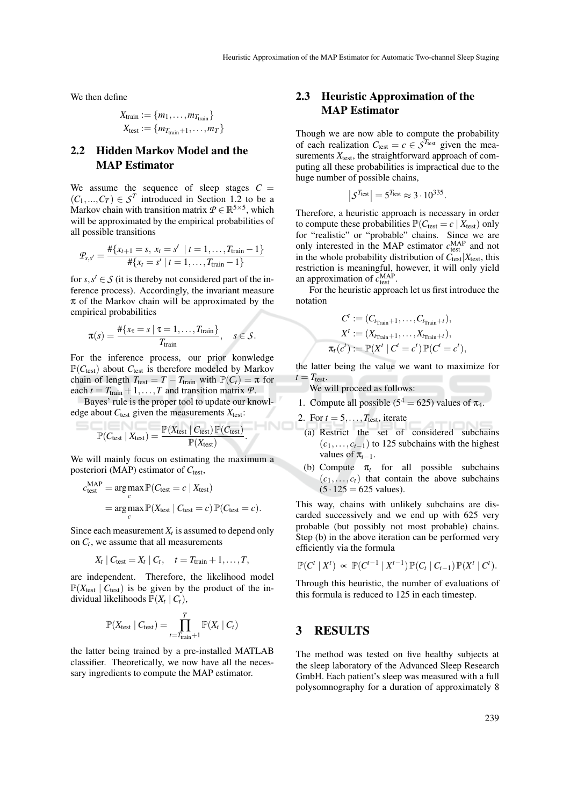We then define

$$
X_{\text{train}} := \{m_1, \dots, m_{T_{\text{train}}}\}\
$$

$$
X_{\text{test}} := \{m_{T_{\text{train}}+1}, \dots, m_T\}\
$$

# 2.2 Hidden Markov Model and the MAP Estimator

We assume the sequence of sleep stages  $C =$  $(C_1,...,C_T) \in S^T$  introduced in Section 1.2 to be a Markov chain with transition matrix  $P \in \mathbb{R}^{5 \times 5}$ , which will be approximated by the empirical probabilities of all possible transitions

$$
\mathcal{P}_{s,s'} = \frac{\#\{x_{t+1} = s, x_t = s' \mid t = 1, \dots, T_{\text{train}} - 1\}}{\#\{x_t = s' \mid t = 1, \dots, T_{\text{train}} - 1\}}
$$

for  $s, s' \in S$  (it is thereby not considered part of the inference process). Accordingly, the invariant measure  $\pi$  of the Markov chain will be approximated by the empirical probabilities

$$
\pi(s) = \frac{\#\{x_{\tau} = s \mid \tau = 1, \ldots, T_{\text{train}}\}}{T_{\text{train}}}, \quad s \in \mathcal{S}.
$$

For the inference process, our prior konwledge  $\mathbb{P}(C_{\text{test}})$  about  $C_{\text{test}}$  is therefore modeled by Markov chain of length  $T_{\text{test}} = T - T_{\text{train}}$  with  $\mathbb{P}(C_t) = \pi$  for each  $t = T_{\text{train}} + 1, \ldots, T$  and transition matrix  $\mathcal{P}$ .

Bayes' rule is the proper tool to update our knowledge about  $C_{\text{test}}$  given the measurements  $X_{\text{test}}$ :

$$
\mathbb{P}(C_{\text{test}} \mid X_{\text{test}}) = \frac{\mathbb{P}(X_{\text{test}} \mid C_{\text{test}}) \mathbb{P}(C_{\text{test}})}{\mathbb{P}(X_{\text{test}})}
$$

We will mainly focus on estimating the maximum a posteriori (MAP) estimator of  $C_{\text{test}}$ ,

.

$$
c_{\text{test}}^{\text{MAP}} = \underset{c}{\arg \max} \mathbb{P}(C_{\text{test}} = c \mid X_{\text{test}})
$$
  
= 
$$
\underset{c}{\arg \max} \mathbb{P}(X_{\text{test}} \mid C_{\text{test}} = c) \mathbb{P}(C_{\text{test}} = c).
$$

Since each measurement  $X_t$  is assumed to depend only on *C<sup>t</sup>* , we assume that all measurements

$$
X_t | C_{\text{test}} = X_t | C_t, \quad t = T_{\text{train}} + 1, \dots, T,
$$

are independent. Therefore, the likelihood model  $\mathbb{P}(X_{\text{test}} \mid C_{\text{test}})$  is be given by the product of the individual likelihoods  $\mathbb{P}(X_t | C_t)$ ,

$$
\mathbb{P}(X_{\text{test}} \mid C_{\text{test}}) = \prod_{t=T_{\text{train}}+1}^{T} \mathbb{P}(X_t \mid C_t)
$$

the latter being trained by a pre-installed MATLAB classifier. Theoretically, we now have all the necessary ingredients to compute the MAP estimator.

# 2.3 Heuristic Approximation of the MAP Estimator

Though we are now able to compute the probability of each realization  $C_{\text{test}} = c \in \mathcal{S}^{T_{\text{test}}}$  given the measurements  $X_{\text{test}}$ , the straightforward approach of computing all these probabilities is impractical due to the huge number of possible chains,

$$
|S^{T_{\text{test}}}| = 5^{T_{\text{test}}} \approx 3 \cdot 10^{335}.
$$

Therefore, a heuristic approach is necessary in order to compute these probabilities  $\mathbb{P}(C_{\text{test}} = c \mid X_{\text{test}})$  only for "realistic" or "probable" chains. Since we are only interested in the MAP estimator  $c_{\text{test}}^{\text{MAP}}$  and not in the whole probability distribution of  $C_{\text{test}}|X_{\text{test}}$ , this restriction is meaningful, however, it will only yield an approximation of  $c_{\text{test}}^{\text{MAP}}$ .

For the heuristic approach let us first introduce the notation

$$
C^t := (C_{t_{\text{Train}}+1}, \ldots, C_{t_{\text{Train}}+t}),
$$
  
\n
$$
X^t := (X_{t_{\text{Train}}+1}, \ldots, X_{t_{\text{Train}}+t}),
$$
  
\n
$$
t(c^t) := \mathbb{P}(X^t \mid C^t = c^t) \mathbb{P}(C^t = c^t),
$$

the latter being the value we want to maximize for  $t = T_{\text{test}}$ .

We will proceed as follows:

- 1. Compute all possible ( $5^4 = 625$ ) values of  $\pi_4$ .
- 2. For  $t = 5, \ldots, T_{\text{test}}$ , iterate

 $\pi$ 

- (a) Restrict the set of considered subchains  $(c_1, \ldots, c_{t-1})$  to 125 subchains with the highest values of  $\pi_{t-1}$ .
- (b) Compute  $\pi_t$  for all possible subchains  $(c_1, \ldots, c_t)$  that contain the above subchains  $(5 \cdot 125) = 625$  values).

This way, chains with unlikely subchains are discarded successively and we end up with 625 very probable (but possibly not most probable) chains. Step (b) in the above iteration can be performed very efficiently via the formula

$$
\mathbb{P}(C^t | X^t) \propto \mathbb{P}(C^{t-1} | X^{t-1}) \mathbb{P}(C_t | C_{t-1}) \mathbb{P}(X^t | C^t).
$$

Through this heuristic, the number of evaluations of this formula is reduced to 125 in each timestep.

### 3 RESULTS

The method was tested on five healthy subjects at the sleep laboratory of the Advanced Sleep Research GmbH. Each patient's sleep was measured with a full polysomnography for a duration of approximately 8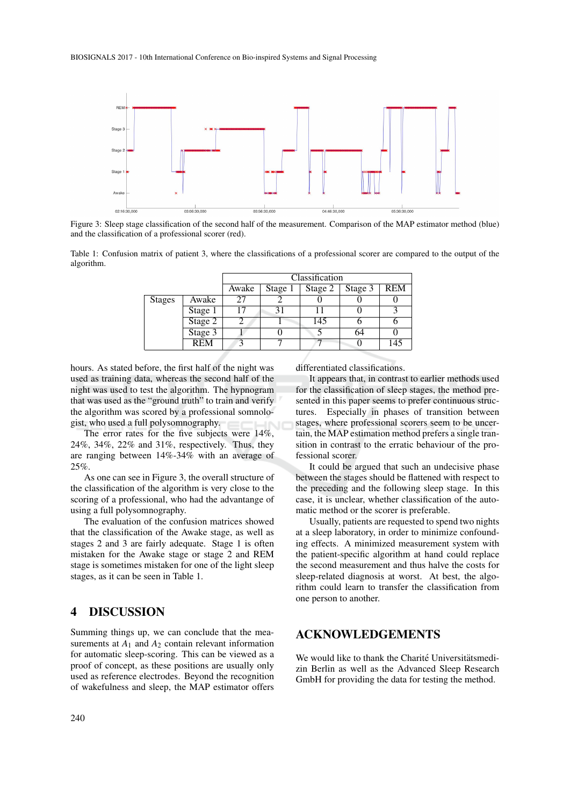

Figure 3: Sleep stage classification of the second half of the measurement. Comparison of the MAP estimator method (blue) and the classification of a professional scorer (red).

Table 1: Confusion matrix of patient 3, where the classifications of a professional scorer are compared to the output of the algorithm.

|               |            | Classification |         |         |         |            |
|---------------|------------|----------------|---------|---------|---------|------------|
|               |            | Awake          | Stage 1 | Stage 2 | Stage 3 | <b>REM</b> |
| <b>Stages</b> | Awake      |                |         |         |         |            |
|               | Stage 1    |                |         |         |         |            |
|               | Stage 2    |                |         | 145     |         |            |
|               | Stage 3    |                |         |         | 64      |            |
|               | <b>REM</b> |                |         |         |         | 145        |

hours. As stated before, the first half of the night was used as training data, whereas the second half of the night was used to test the algorithm. The hypnogram that was used as the "ground truth" to train and verify the algorithm was scored by a professional somnologist, who used a full polysomnography.

The error rates for the five subjects were 14%, 24%, 34%, 22% and 31%, respectively. Thus, they are ranging between 14%-34% with an average of 25%.

As one can see in Figure 3, the overall structure of the classification of the algorithm is very close to the scoring of a professional, who had the advantange of using a full polysomnography.

The evaluation of the confusion matrices showed that the classification of the Awake stage, as well as stages 2 and 3 are fairly adequate. Stage 1 is often mistaken for the Awake stage or stage 2 and REM stage is sometimes mistaken for one of the light sleep stages, as it can be seen in Table 1.

#### 4 DISCUSSION

Summing things up, we can conclude that the measurements at  $A_1$  and  $A_2$  contain relevant information for automatic sleep-scoring. This can be viewed as a proof of concept, as these positions are usually only used as reference electrodes. Beyond the recognition of wakefulness and sleep, the MAP estimator offers

differentiated classifications.

It appears that, in contrast to earlier methods used for the classification of sleep stages, the method presented in this paper seems to prefer continuous structures. Especially in phases of transition between stages, where professional scorers seem to be uncertain, the MAP estimation method prefers a single transition in contrast to the erratic behaviour of the professional scorer.

It could be argued that such an undecisive phase between the stages should be flattened with respect to the preceding and the following sleep stage. In this case, it is unclear, whether classification of the automatic method or the scorer is preferable.

Usually, patients are requested to spend two nights at a sleep laboratory, in order to minimize confounding effects. A minimized measurement system with the patient-specific algorithm at hand could replace the second measurement and thus halve the costs for sleep-related diagnosis at worst. At best, the algorithm could learn to transfer the classification from one person to another.

# ACKNOWLEDGEMENTS

We would like to thank the Charité Universitätsmedizin Berlin as well as the Advanced Sleep Research GmbH for providing the data for testing the method.